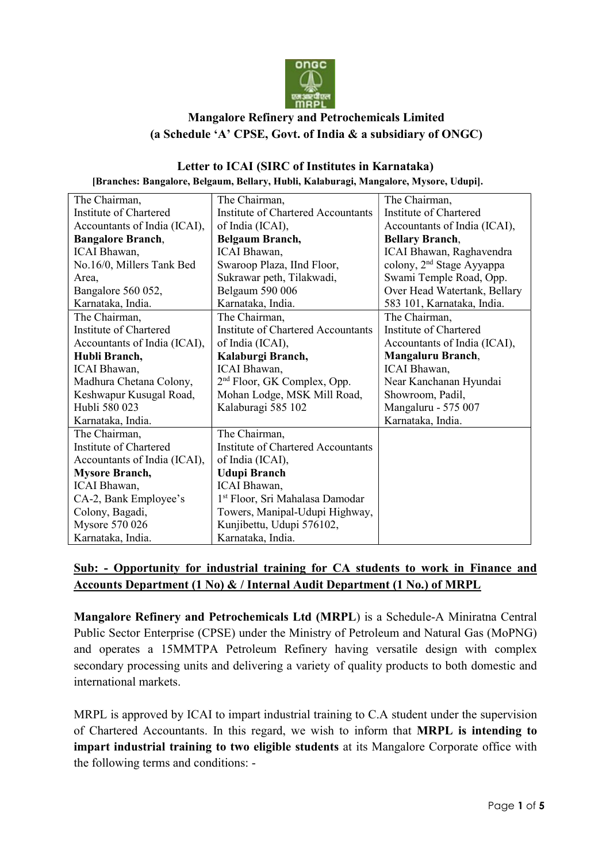

## Mangalore Refinery and Petrochemicals Limited (a Schedule 'A' CPSE, Govt. of India & a subsidiary of ONGC)

#### Letter to ICAI (SIRC of Institutes in Karnataka) [Branches: Bangalore, Belgaum, Bellary, Hubli, Kalaburagi, Mangalore, Mysore, Udupi].

| The Chairman,                | The Chairman,                             | The Chairman,                         |
|------------------------------|-------------------------------------------|---------------------------------------|
| Institute of Chartered       | <b>Institute of Chartered Accountants</b> | Institute of Chartered                |
| Accountants of India (ICAI), | of India (ICAI),                          | Accountants of India (ICAI),          |
| <b>Bangalore Branch,</b>     | <b>Belgaum Branch,</b>                    | <b>Bellary Branch,</b>                |
| ICAI Bhawan,                 | ICAI Bhawan,                              | ICAI Bhawan, Raghavendra              |
| No.16/0, Millers Tank Bed    | Swaroop Plaza, IInd Floor,                | colony, 2 <sup>nd</sup> Stage Ayyappa |
| Area,                        | Sukrawar peth, Tilakwadi,                 | Swami Temple Road, Opp.               |
| Bangalore 560 052,           | Belgaum 590 006                           | Over Head Watertank, Bellary          |
| Karnataka, India.            | Karnataka, India.                         | 583 101, Karnataka, India.            |
| The Chairman,                | The Chairman,                             | The Chairman,                         |
| Institute of Chartered       | Institute of Chartered Accountants        | Institute of Chartered                |
| Accountants of India (ICAI), | of India (ICAI),                          | Accountants of India (ICAI),          |
| Hubli Branch,                | Kalaburgi Branch,                         | Mangaluru Branch,                     |
| ICAI Bhawan,                 | <b>ICAI</b> Bhawan,                       | ICAI Bhawan,                          |
| Madhura Chetana Colony,      | 2 <sup>nd</sup> Floor, GK Complex, Opp.   | Near Kanchanan Hyundai                |
| Keshwapur Kusugal Road,      | Mohan Lodge, MSK Mill Road,               | Showroom, Padil,                      |
| Hubli 580 023                | Kalaburagi 585 102                        | Mangaluru - 575 007                   |
| Karnataka, India.            |                                           | Karnataka, India.                     |
| The Chairman,                | The Chairman,                             |                                       |
| Institute of Chartered       | <b>Institute of Chartered Accountants</b> |                                       |
| Accountants of India (ICAI), | of India (ICAI),                          |                                       |
| <b>Mysore Branch,</b>        | <b>Udupi Branch</b>                       |                                       |
| ICAI Bhawan,                 | ICAI Bhawan,                              |                                       |
| CA-2, Bank Employee's        | 1st Floor, Sri Mahalasa Damodar           |                                       |
| Colony, Bagadi,              | Towers, Manipal-Udupi Highway,            |                                       |
| Mysore 570 026               | Kunjibettu, Udupi 576102,                 |                                       |
| Karnataka, India.            | Karnataka, India.                         |                                       |

## Sub: - Opportunity for industrial training for CA students to work in Finance and Accounts Department (1 No) & / Internal Audit Department (1 No.) of MRPL

Mangalore Refinery and Petrochemicals Ltd (MRPL) is a Schedule-A Miniratna Central Public Sector Enterprise (CPSE) under the Ministry of Petroleum and Natural Gas (MoPNG) and operates a 15MMTPA Petroleum Refinery having versatile design with complex secondary processing units and delivering a variety of quality products to both domestic and international markets.

MRPL is approved by ICAI to impart industrial training to C.A student under the supervision of Chartered Accountants. In this regard, we wish to inform that MRPL is intending to impart industrial training to two eligible students at its Mangalore Corporate office with the following terms and conditions: -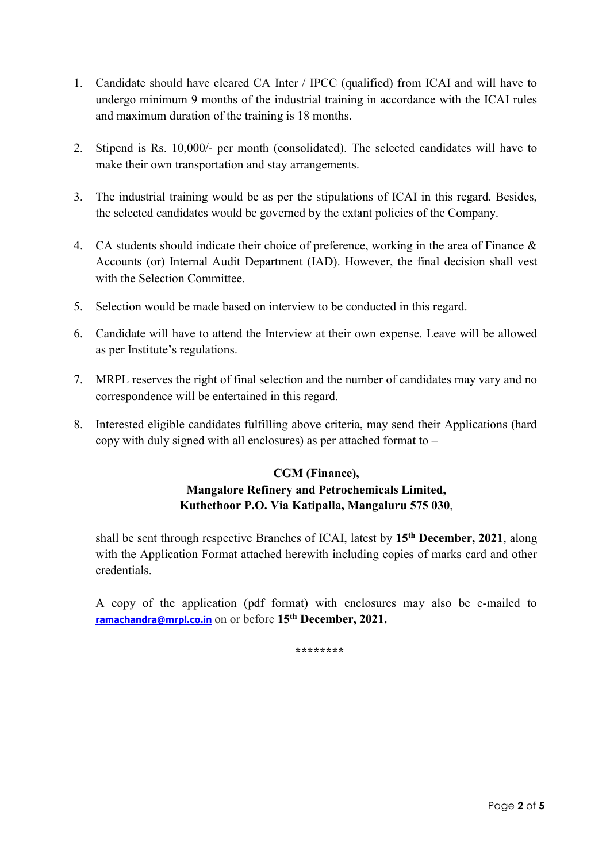- 1. Candidate should have cleared CA Inter / IPCC (qualified) from ICAI and will have to undergo minimum 9 months of the industrial training in accordance with the ICAI rules and maximum duration of the training is 18 months.
- 2. Stipend is Rs. 10,000/- per month (consolidated). The selected candidates will have to make their own transportation and stay arrangements.
- 3. The industrial training would be as per the stipulations of ICAI in this regard. Besides, the selected candidates would be governed by the extant policies of the Company.
- 4. CA students should indicate their choice of preference, working in the area of Finance & Accounts (or) Internal Audit Department (IAD). However, the final decision shall vest with the Selection Committee.
- 5. Selection would be made based on interview to be conducted in this regard.
- 6. Candidate will have to attend the Interview at their own expense. Leave will be allowed as per Institute's regulations.
- 7. MRPL reserves the right of final selection and the number of candidates may vary and no correspondence will be entertained in this regard.
- 8. Interested eligible candidates fulfilling above criteria, may send their Applications (hard copy with duly signed with all enclosures) as per attached format to –

## CGM (Finance), Mangalore Refinery and Petrochemicals Limited, Kuthethoor P.O. Via Katipalla, Mangaluru 575 030,

shall be sent through respective Branches of ICAI, latest by 15<sup>th</sup> December, 2021, along with the Application Format attached herewith including copies of marks card and other credentials.

A copy of the application (pdf format) with enclosures may also be e-mailed to ramachandra@mrpl.co.in on or before 15<sup>th</sup> December, 2021.

\*\*\*\*\*\*\*\*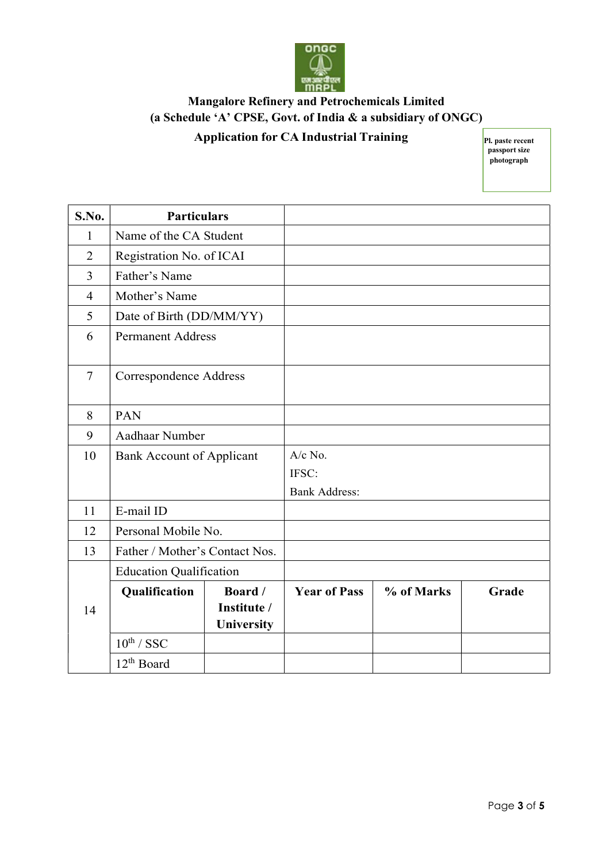

## Mangalore Refinery and Petrochemicals Limited (a Schedule 'A' CPSE, Govt. of India & a subsidiary of ONGC)

## Application for CA Industrial Training

Pl. paste recent passport size photograph

|                |                                  |                                      |                      |            | passport size<br>photograph |
|----------------|----------------------------------|--------------------------------------|----------------------|------------|-----------------------------|
|                |                                  |                                      |                      |            |                             |
| S.No.          | <b>Particulars</b>               |                                      |                      |            |                             |
|                |                                  |                                      |                      |            |                             |
| $\mathbf{1}$   | Name of the CA Student           |                                      |                      |            |                             |
| $\overline{2}$ | Registration No. of ICAI         |                                      |                      |            |                             |
| $\overline{3}$ | Father's Name                    |                                      |                      |            |                             |
| $\overline{4}$ | Mother's Name                    |                                      |                      |            |                             |
| 5              | Date of Birth (DD/MM/YY)         |                                      |                      |            |                             |
| 6              | <b>Permanent Address</b>         |                                      |                      |            |                             |
| $\overline{7}$ | Correspondence Address           |                                      |                      |            |                             |
| 8              | <b>PAN</b>                       |                                      |                      |            |                             |
| 9              | Aadhaar Number                   |                                      |                      |            |                             |
| 10             | <b>Bank Account of Applicant</b> |                                      | A/c No.              |            |                             |
|                |                                  |                                      | IFSC:                |            |                             |
|                |                                  |                                      | <b>Bank Address:</b> |            |                             |
| 11             | E-mail ID                        |                                      |                      |            |                             |
| 12             | Personal Mobile No.              |                                      |                      |            |                             |
| 13             | Father / Mother's Contact Nos.   |                                      |                      |            |                             |
|                | <b>Education Qualification</b>   |                                      |                      |            |                             |
| 14             | Qualification                    | Board /<br>Institute /<br>University | <b>Year of Pass</b>  | % of Marks | Grade                       |
|                | $10^{th}$ / SSC                  |                                      |                      |            |                             |
|                | 12 <sup>th</sup> Board           |                                      |                      |            |                             |
|                |                                  |                                      |                      |            |                             |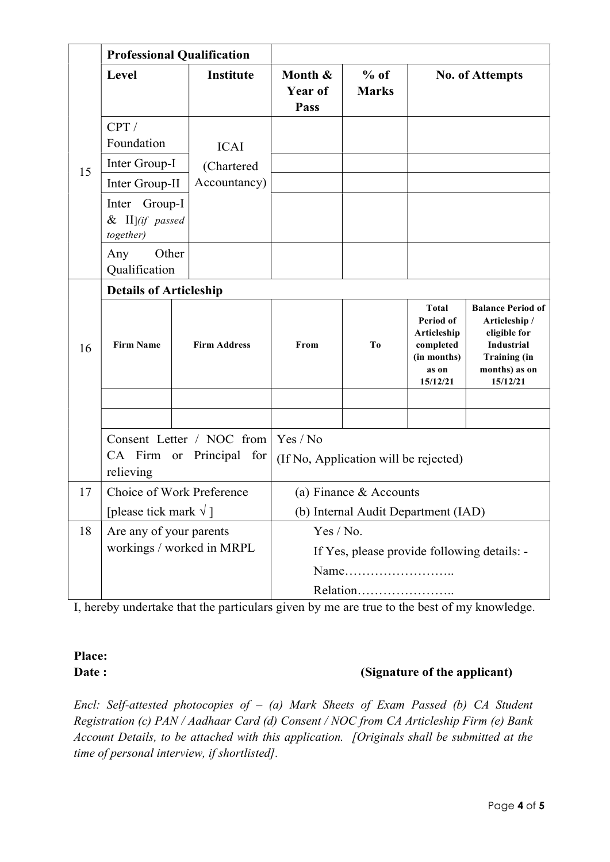|    | <b>Professional Qualification</b>                |                                            |                                                   |                        |                                                                                           |                                                                                                                             |  |  |
|----|--------------------------------------------------|--------------------------------------------|---------------------------------------------------|------------------------|-------------------------------------------------------------------------------------------|-----------------------------------------------------------------------------------------------------------------------------|--|--|
|    | Level                                            | <b>Institute</b>                           | Month &<br><b>Year of</b><br>Pass                 | $%$ of<br><b>Marks</b> |                                                                                           | <b>No. of Attempts</b>                                                                                                      |  |  |
|    | CPT/<br>Foundation                               | <b>ICAI</b>                                |                                                   |                        |                                                                                           |                                                                                                                             |  |  |
| 15 | Inter Group-I                                    | (Chartered                                 |                                                   |                        |                                                                                           |                                                                                                                             |  |  |
|    | Inter Group-II                                   | Accountancy)                               |                                                   |                        |                                                                                           |                                                                                                                             |  |  |
|    | Inter Group-I<br>$\&$ II](if passed<br>together) |                                            |                                                   |                        |                                                                                           |                                                                                                                             |  |  |
|    | Other<br>Any<br>Qualification                    |                                            |                                                   |                        |                                                                                           |                                                                                                                             |  |  |
|    | <b>Details of Articleship</b>                    |                                            |                                                   |                        |                                                                                           |                                                                                                                             |  |  |
| 16 | <b>Firm Name</b>                                 | <b>Firm Address</b>                        | From                                              | To                     | <b>Total</b><br>Period of<br>Articleship<br>completed<br>(in months)<br>as on<br>15/12/21 | <b>Balance Period of</b><br>Articleship /<br>eligible for<br>Industrial<br><b>Training</b> (in<br>months) as on<br>15/12/21 |  |  |
|    |                                                  |                                            |                                                   |                        |                                                                                           |                                                                                                                             |  |  |
|    | CA Firm or<br>relieving                          | Consent Letter / NOC from<br>Principal for | Yes / No<br>(If No, Application will be rejected) |                        |                                                                                           |                                                                                                                             |  |  |
| 17 | Choice of Work Preference                        |                                            |                                                   | (a) Finance & Accounts |                                                                                           |                                                                                                                             |  |  |
|    | [please tick mark $\sqrt{ }$ ]                   |                                            |                                                   |                        | (b) Internal Audit Department (IAD)                                                       |                                                                                                                             |  |  |
| 18 | Are any of your parents                          |                                            | Yes / No.                                         |                        |                                                                                           |                                                                                                                             |  |  |
|    | workings / worked in MRPL                        |                                            |                                                   |                        |                                                                                           | If Yes, please provide following details: -                                                                                 |  |  |
|    |                                                  |                                            |                                                   |                        |                                                                                           |                                                                                                                             |  |  |
|    |                                                  |                                            |                                                   | Relation               |                                                                                           |                                                                                                                             |  |  |

I, hereby undertake that the particulars given by me are true to the best of my knowledge.

# Place:

## Date : (Signature of the applicant)

Encl: Self-attested photocopies of  $-$  (a) Mark Sheets of Exam Passed (b) CA Student Registration (c) PAN / Aadhaar Card (d) Consent / NOC from CA Articleship Firm (e) Bank Account Details, to be attached with this application. [Originals shall be submitted at the time of personal interview, if shortlisted].